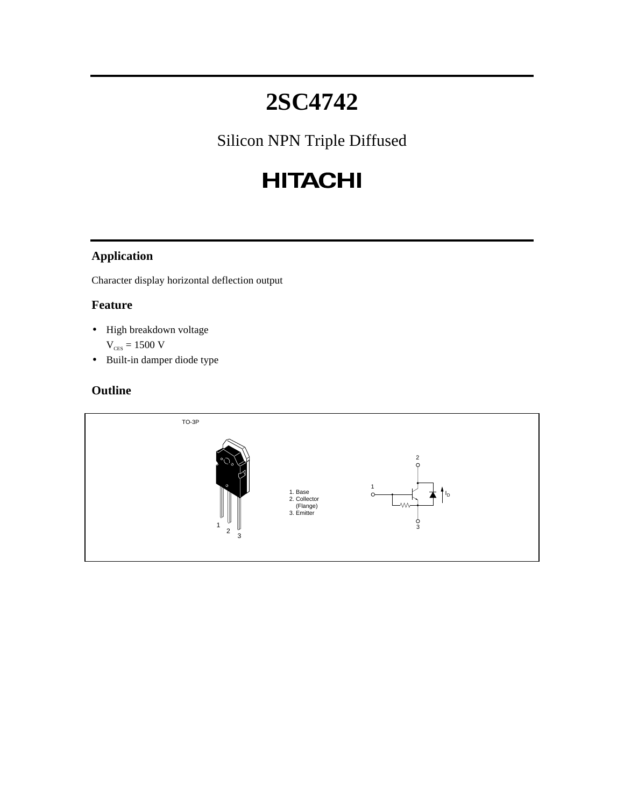# **2SC4742**

Silicon NPN Triple Diffused

# **HITACHI**

### **Application**

Character display horizontal deflection output

#### **Feature**

- High breakdown voltage
	- $\rm V_{\rm ces} = 1500~V$
- Built-in damper diode type

#### **Outline**